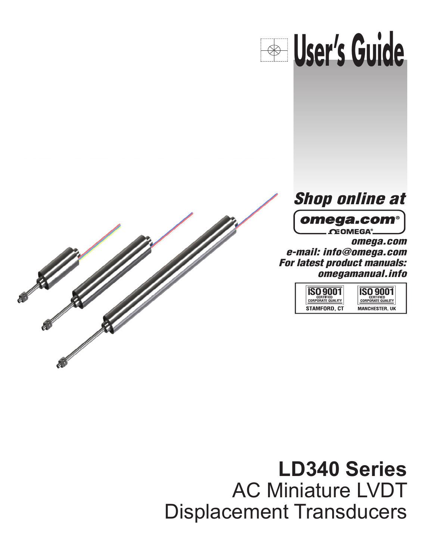





 $\Omega$ EOMEGA®.

omega.com e-mail: info@omega.com For latest product manuals: omegamanual.info

| <b>CERTIFIED</b>         | <b>CERTIFIED</b>         |
|--------------------------|--------------------------|
| <b>CORPORATE QUALITY</b> | <b>CORPORATE QUALITY</b> |
| STAMFORD, CT             | <b>MANCHESTER, UK</b>    |

**LD340 Series** AC Miniature LVDT Displacement Transducers **Transducers** spiacomont mansuucci*s*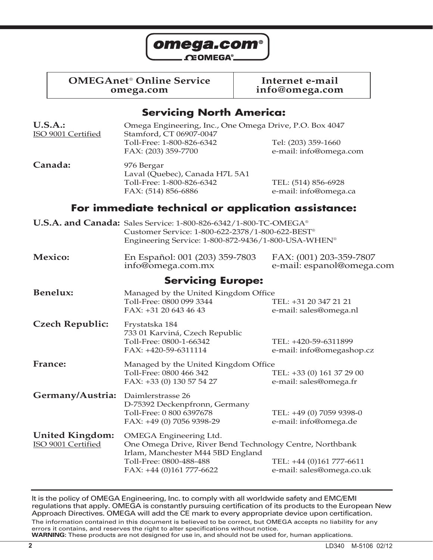

**OMEGAnet<sup>®</sup> Online Service and Internet e-mail<br>
omega.com info@omega.com** 

**omega.com info@omega.com**

## **Servicing North America:**

| <b>U.S.A.:</b><br>ISO 9001 Certified         | Omega Engineering, Inc., One Omega Drive, P.O. Box 4047<br>Stamford, CT 06907-0047<br>Toll-Free: 1-800-826-6342<br>FAX: (203) 359-7700                                                | Tel: (203) 359-1660<br>e-mail: info@omega.com         |
|----------------------------------------------|---------------------------------------------------------------------------------------------------------------------------------------------------------------------------------------|-------------------------------------------------------|
| Canada:                                      | 976 Bergar<br>Laval (Quebec), Canada H7L 5A1<br>Toll-Free: 1-800-826-6342<br>FAX: (514) 856-6886                                                                                      | TEL: (514) 856-6928<br>e-mail: info@omega.ca          |
|                                              | For immediate technical or application assistance:                                                                                                                                    |                                                       |
|                                              | U.S.A. and Canada: Sales Service: 1-800-826-6342/1-800-TC-OMEGA®<br>Customer Service: 1-800-622-2378/1-800-622-BEST®<br>Engineering Service: 1-800-872-9436/1-800-USA-WHEN®           |                                                       |
| <b>Mexico:</b>                               | En Español: 001 (203) 359-7803<br>info@omega.com.mx                                                                                                                                   | FAX: (001) 203-359-7807<br>e-mail: espanol@omega.com  |
|                                              | <b>Servicing Europe:</b>                                                                                                                                                              |                                                       |
| <b>Benelux:</b>                              | Managed by the United Kingdom Office<br>Toll-Free: 0800 099 3344<br>$FAX: +31206434643$                                                                                               | TEL: +31 20 347 21 21<br>e-mail: sales@omega.nl       |
| <b>Czech Republic:</b>                       | Frystatska 184<br>733 01 Karviná, Czech Republic<br>Toll-Free: 0800-1-66342<br>FAX: +420-59-6311114                                                                                   | TEL: +420-59-6311899<br>e-mail: info@omegashop.cz     |
| France:                                      | Managed by the United Kingdom Office<br>Toll-Free: 0800 466 342<br>FAX: +33 (0) 130 57 54 27                                                                                          | TEL: +33 (0) 161 37 29 00<br>e-mail: sales@omega.fr   |
| Germany/Austria:                             | Daimlerstrasse 26<br>D-75392 Deckenpfronn, Germany<br>Toll-Free: 0 800 6397678<br>FAX: +49 (0) 7056 9398-29                                                                           | TEL: +49 (0) 7059 9398-0<br>e-mail: info@omega.de     |
| <b>United Kingdom:</b><br>ISO 9001 Certified | <b>OMEGA Engineering Ltd.</b><br>One Omega Drive, River Bend Technology Centre, Northbank<br>Irlam, Manchester M44 5BD England<br>Toll-Free: 0800-488-488<br>FAX: +44 (0)161 777-6622 | TEL: +44 (0)161 777-6611<br>e-mail: sales@omega.co.uk |

It is the policy of OMEGA Engineering, Inc. to comply with all worldwide safety and EMC/EMI regulations that apply. OMEGA is constantly pursuing certification of its products to the European New Approach Directives. OMEGA will add the CE mark to every appropriate device upon certification.

The information contained in this document is believed to be correct, but OMEGA accepts no liability for any errors it contains, and reserves the right to alter specifications without notice. **WARNING:** These products are not designed for use in, and should not be used for, human applications.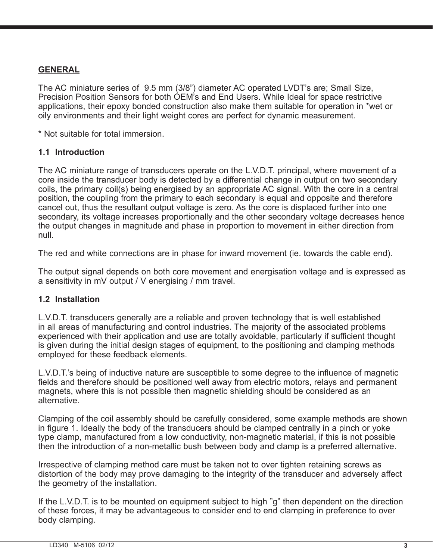## **GENERAL**

The AC miniature series of 9.5 mm (3/8") diameter AC operated LVDT's are; Small Size, Precision Position Sensors for both OEM's and End Users. While Ideal for space restrictive applications, their epoxy bonded construction also make them suitable for operation in \*wet or oily environments and their light weight cores are perfect for dynamic measurement.

\* Not suitable for total immersion.

#### **1.1 Introduction**

The AC miniature range of transducers operate on the L.V.D.T. principal, where movement of a core inside the transducer body is detected by a differential change in output on two secondary coils, the primary coil(s) being energised by an appropriate AC signal. With the core in a central position, the coupling from the primary to each secondary is equal and opposite and therefore cancel out, thus the resultant output voltage is zero. As the core is displaced further into one secondary, its voltage increases proportionally and the other secondary voltage decreases hence the output changes in magnitude and phase in proportion to movement in either direction from null.

The red and white connections are in phase for inward movement (ie. towards the cable end).

The output signal depends on both core movement and energisation voltage and is expressed as a sensitivity in mV output / V energising / mm travel.

#### **1.2 Installation**

L.V.D.T. transducers generally are a reliable and proven technology that is well established in all areas of manufacturing and control industries. The majority of the associated problems experienced with their application and use are totally avoidable, particularly if sufficient thought is given during the initial design stages of equipment, to the positioning and clamping methods employed for these feedback elements.

L.V.D.T.'s being of inductive nature are susceptible to some degree to the influence of magnetic fields and therefore should be positioned well away from electric motors, relays and permanent magnets, where this is not possible then magnetic shielding should be considered as an alternative.

Clamping of the coil assembly should be carefully considered, some example methods are shown in figure 1. Ideally the body of the transducers should be clamped centrally in a pinch or yoke type clamp, manufactured from a low conductivity, non-magnetic material, if this is not possible then the introduction of a non-metallic bush between body and clamp is a preferred alternative.

Irrespective of clamping method care must be taken not to over tighten retaining screws as distortion of the body may prove damaging to the integrity of the transducer and adversely affect the geometry of the installation.

If the L.V.D.T. is to be mounted on equipment subject to high "g" then dependent on the direction of these forces, it may be advantageous to consider end to end clamping in preference to over body clamping.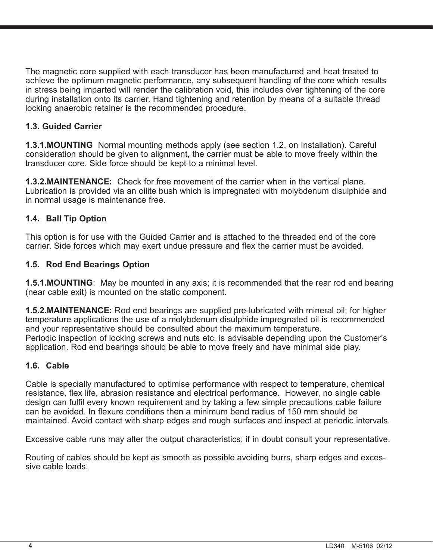The magnetic core supplied with each transducer has been manufactured and heat treated to achieve the optimum magnetic performance, any subsequent handling of the core which results in stress being imparted will render the calibration void, this includes over tightening of the core during installation onto its carrier. Hand tightening and retention by means of a suitable thread locking anaerobic retainer is the recommended procedure.

### **1.3. Guided Carrier**

**1.3.1. MOUNTING** Normal mounting methods apply (see section 1.2. on Installation). Careful consideration should be given to alignment, the carrier must be able to move freely within the transducer core. Side force should be kept to a minimal level.

**1.3.2. MAINTENANCE:** Check for free movement of the carrier when in the vertical plane. Lubrication is provided via an oilite bush which is impregnated with molybdenum disulphide and in normal usage is maintenance free.

## **1.4. Ball Tip Option**

This option is for use with the Guided Carrier and is attached to the threaded end of the core carrier. Side forces which may exert undue pressure and flex the carrier must be avoided.

#### **1.5. Rod End Bearings Option**

**1.5.1. MOUNTING**: May be mounted in any axis; it is recommended that the rear rod end bearing (near cable exit) is mounted on the static component.

**1.5.2. MAINTENANCE:** Rod end bearings are supplied pre-lubricated with mineral oil; for higher temperature applications the use of a molybdenum disulphide impregnated oil is recommended and your representative should be consulted about the maximum temperature. Periodic inspection of locking screws and nuts etc. is advisable depending upon the Customer's application. Rod end bearings should be able to move freely and have minimal side play.

#### **1.6. Cable**

Cable is specially manufactured to optimise performance with respect to temperature, chemical resistance, flex life, abrasion resistance and electrical performance. However, no single cable design can fulfil every known requirement and by taking a few simple precautions cable failure can be avoided. In flexure conditions then a minimum bend radius of 150 mm should be maintained. Avoid contact with sharp edges and rough surfaces and inspect at periodic intervals.

Excessive cable runs may alter the output characteristics; if in doubt consult your representative.

Routing of cables should be kept as smooth as possible avoiding burrs, sharp edges and excessive cable loads.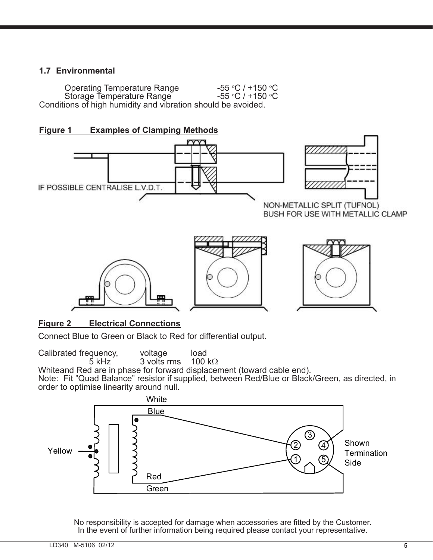## **1.7 Environmental**

Operating Temperature Range C  $/$  +150  $\mathrm{^{\circ}C}$ Storage Temperature Range C  $/$  +150  $\mathrm{^{\circ}C}$ Conditions of high humidity and vibration should be avoided.





## **Figure 2 Electrical Connections**

Connect Blue to Green or Black to Red for differential output.

Calibrated frequency, voltage load<br>5 kHz 3 volts rms 100 k $\Omega$ 

5 kHz  $\,$  3 volts rms  $\,$  100 k $\Omega$ Whiteand Red are in phase for forward displacement (toward cable end). Note: Fit "Quad Balance" resistor if supplied, between Red/Blue or Black/Green, as directed, in order to optimise linearity around null.



No responsibility is accepted for damage when accessories are fitted by the Customer. In the event of further information being required please contact your representative.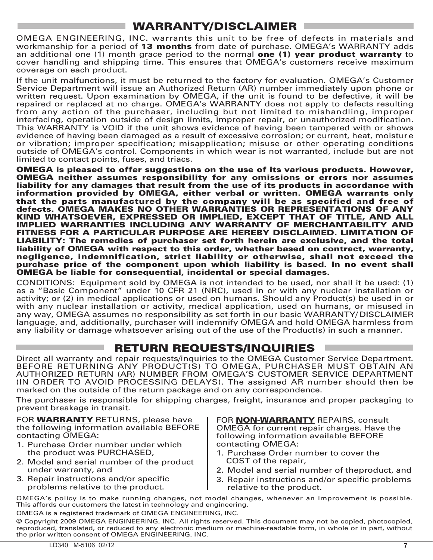## WARRANTY/DISCLAIMER

OMEGA ENGINEERING, INC. warrants this unit to be free of defects in materials and workmanship for a period of 13 months from date of purchase. OMEGA's WARRANTY adds an additional one (1) month grace period to the normal **one (1) year product warranty** to cover handling and shipping time. This ensures that OMEGA's customers receive maximum coverage on each product.

If the unit malfunctions, it must be returned to the factory for evaluation. OMEGA's Customer Service Department will issue an Authorized Return (AR) number immediately upon phone or written request. Upon examination by OMEGA, if the unit is found to be defective, it will be repaired or replaced at no charge. OMEGA's WARRANTY does not apply to defects resulting from any action of the purchaser, including but not limited to mishandling, improper interfacing, operation outside of design limits, improper repair, or unauthorized modification. This WARRANTY is VOID if the unit shows evidence of having been tampered with or shows evidence of having been damaged as a result of excessive corrosion; or current, heat, moisture or vibration; improper specification; misapplication; misuse or other operating conditions outside of OMEGA's control. Components in which wear is not warranted, include but are not limited to contact points, fuses, and triacs.

OMEGA is pleased to offer suggestions on the use of its various products. However, OMEGA neither assumes responsibility for any omissions or errors nor assumes liability for any damages that result from the use of its products in accordance with information provided by OMEGA, either verbal or written. OMEGA warrants only that the parts manufactured by the company will be as specified and free of defects. OMEGA MAKES NO OTHER WARRANTIES OR REPRESENTATIONS OF ANY KIND WHATSOEVER, EXPRESSED OR IMPLIED, EXCEPT THAT OF TITLE, AND ALL IMPLIED WARRANTIES INCLUDING ANY WARRANTY OF MERCHANTABILITY AND FITNESS FOR A PARTICULAR PURPOSE ARE HEREBY DISCLAIMED. LIMITATION OF LIABILITY: The remedies of purchaser set forth herein are exclusive, and the total liability of OMEGA with respect to this order, whether based on contract, warranty, negligence, indemnification, strict liability or otherwise, shall not exceed the purchase price of the component upon which liability is based. In no event shall OMEGA be liable for consequential, incidental or special damages.

CONDITIONS: Equipment sold by OMEGA is not intended to be used, nor shall it be used: (1) as a "Basic Component" under 10 CFR 21 (NRC), used in or with any nuclear installation or activity; or (2) in medical applications or used on humans. Should any Product(s) be used in or with any nuclear installation or activity, medical application, used on humans, or misused in any way, OMEGA assumes no responsibility as set forth in our basic WARRANTY/ DISCLAIMER language, and, additionally, purchaser will indemnify OMEGA and hold OMEGA harmless from any liability or damage whatsoever arising out of the use of the Product(s) in such a manner.

## RETURN REQUESTS/INQUIRIES

Direct all warranty and repair requests/inquiries to the OMEGA Customer Service Department. BEFORE RETURNING ANY PRODUCT(S) TO OMEGA, PURCHASER MUST OBTAIN AN AUTHORIZED RETURN (AR) NUMBER FROM OMEGA'S CUSTOMER SERVICE DEPARTMENT (IN ORDER TO AVOID PROCESSING DELAYS). The assigned AR number should then be marked on the outside of the return package and on any correspondence.

The purchaser is responsible for shipping charges, freight, insurance and proper packaging to prevent breakage in transit.

FOR **WARRANTY** RETURNS, please have the following information available BEFORE contacting OMEGA:

- 1. Purchase Order number under which the product was PURCHASED,
- 2. Model and serial number of the product under warranty, and
- 3. Repair instructions and/or specific problems relative to the product.

FOR **NON-WARRANTY** REPAIRS, consult OMEGA for current repair charges. Have the following information available BEFORE contacting OMEGA:

- 1. Purchase Order number to cover the COST of the repair,
- 2. Model and serial number of theproduct, and
- 3. Repair instructions and/or specific problems relative to the product.

OMEGA's policy is to make running changes, not model changes, whenever an improvement is possible. This affords our customers the latest in technology and engineering.

OMEGA is a registered trademark of OMEGA ENGINEERING, INC.

© Copyright 2009 OMEGA ENGINEERING, INC. All rights reserved. This document may not be copied, photocopied, reproduced, translated, or reduced to any electronic medium or machine-readable form, in whole or in part, without the prior written consent of OMEGA ENGINEERING, INC.